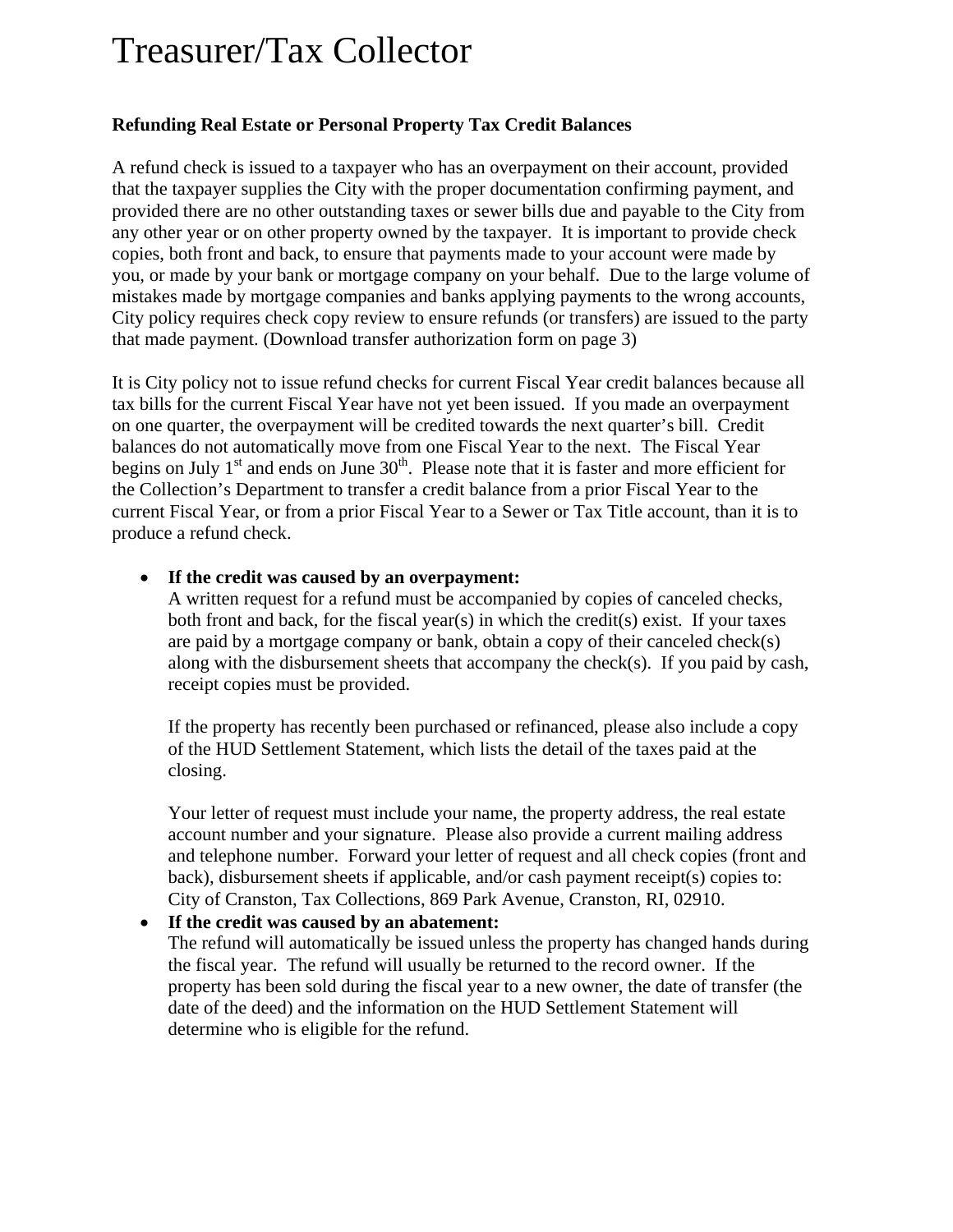# Treasurer/Tax Collector

# **Refunding Real Estate or Personal Property Tax Credit Balances**

A refund check is issued to a taxpayer who has an overpayment on their account, provided that the taxpayer supplies the City with the proper documentation confirming payment, and provided there are no other outstanding taxes or sewer bills due and payable to the City from any other year or on other property owned by the taxpayer. It is important to provide check copies, both front and back, to ensure that payments made to your account were made by you, or made by your bank or mortgage company on your behalf. Due to the large volume of mistakes made by mortgage companies and banks applying payments to the wrong accounts, City policy requires check copy review to ensure refunds (or transfers) are issued to the party that made payment. (Download transfer authorization form on page 3)

It is City policy not to issue refund checks for current Fiscal Year credit balances because all tax bills for the current Fiscal Year have not yet been issued. If you made an overpayment on one quarter, the overpayment will be credited towards the next quarter's bill. Credit balances do not automatically move from one Fiscal Year to the next. The Fiscal Year begins on July  $1<sup>st</sup>$  and ends on June  $30<sup>th</sup>$ . Please note that it is faster and more efficient for the Collection's Department to transfer a credit balance from a prior Fiscal Year to the current Fiscal Year, or from a prior Fiscal Year to a Sewer or Tax Title account, than it is to produce a refund check.

### • **If the credit was caused by an overpayment:**

A written request for a refund must be accompanied by copies of canceled checks, both front and back, for the fiscal year(s) in which the credit(s) exist. If your taxes are paid by a mortgage company or bank, obtain a copy of their canceled check(s) along with the disbursement sheets that accompany the check(s). If you paid by cash, receipt copies must be provided.

If the property has recently been purchased or refinanced, please also include a copy of the HUD Settlement Statement, which lists the detail of the taxes paid at the closing.

Your letter of request must include your name, the property address, the real estate account number and your signature. Please also provide a current mailing address and telephone number. Forward your letter of request and all check copies (front and back), disbursement sheets if applicable, and/or cash payment receipt(s) copies to: City of Cranston, Tax Collections, 869 Park Avenue, Cranston, RI, 02910.

# • **If the credit was caused by an abatement:**

The refund will automatically be issued unless the property has changed hands during the fiscal year. The refund will usually be returned to the record owner. If the property has been sold during the fiscal year to a new owner, the date of transfer (the date of the deed) and the information on the HUD Settlement Statement will determine who is eligible for the refund.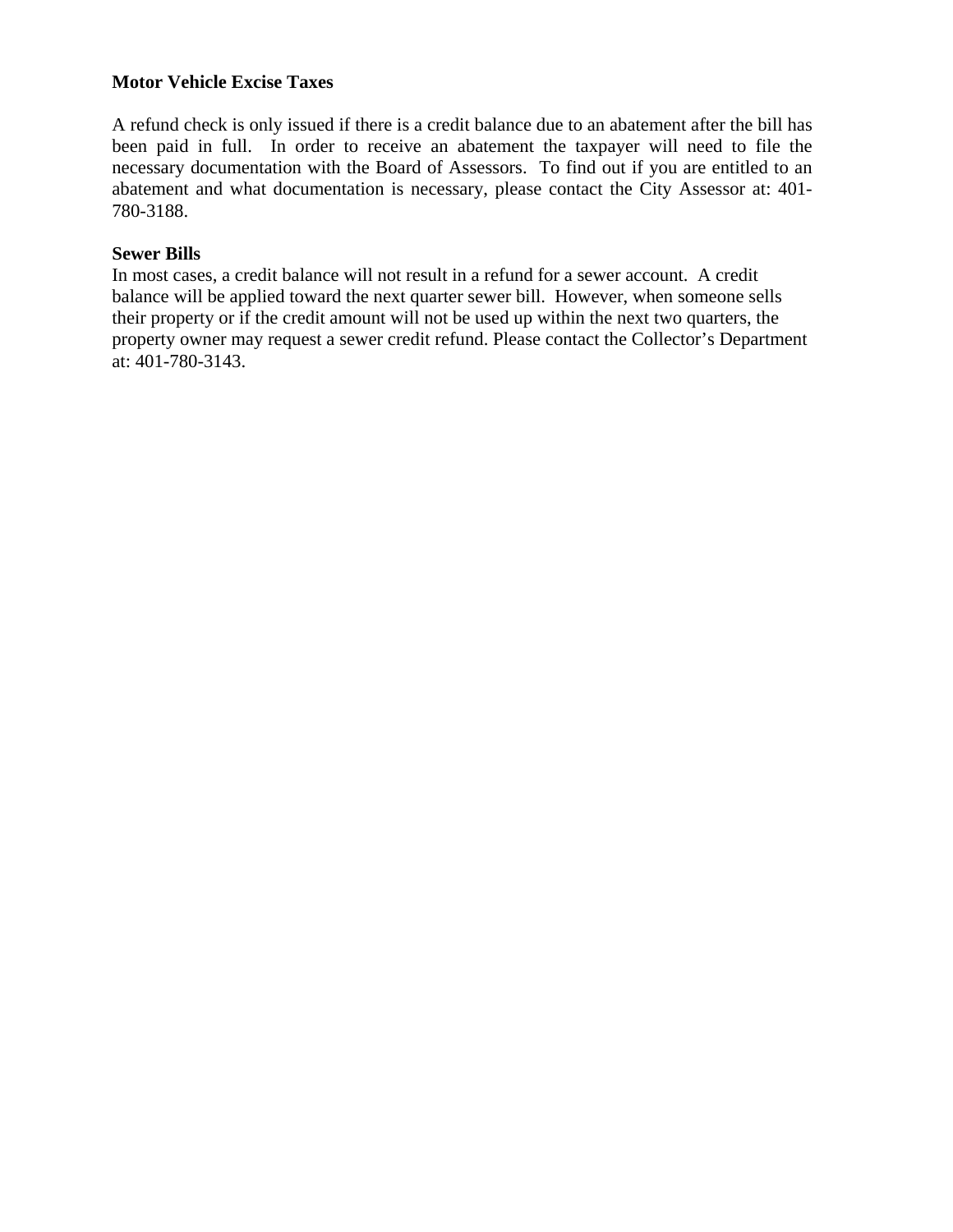### **Motor Vehicle Excise Taxes**

A refund check is only issued if there is a credit balance due to an abatement after the bill has been paid in full. In order to receive an abatement the taxpayer will need to file the necessary documentation with the Board of Assessors. To find out if you are entitled to an abatement and what documentation is necessary, please contact the City Assessor at: 401- 780-3188.

### **Sewer Bills**

In most cases, a credit balance will not result in a refund for a sewer account. A credit balance will be applied toward the next quarter sewer bill. However, when someone sells their property or if the credit amount will not be used up within the next two quarters, the property owner may request a sewer credit refund. Please contact the Collector's Department at: 401-780-3143.